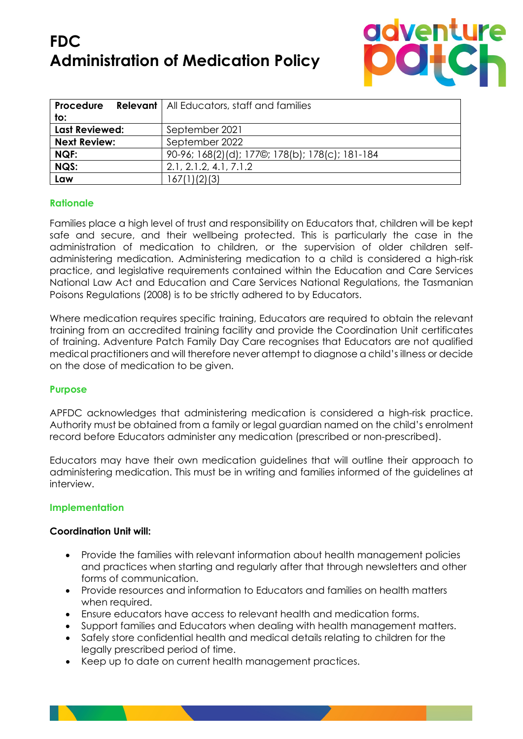# **FDC Administration of Medication Policy**



| Procedure             | <b>Relevant</b>   All Educators, staff and families |
|-----------------------|-----------------------------------------------------|
| to:                   |                                                     |
| <b>Last Reviewed:</b> | September 2021                                      |
| <b>Next Review:</b>   | September 2022                                      |
| NQF:                  | 90-96; 168(2)(d); 177©; 178(b); 178(c); 181-184     |
| NQS:                  | 2.1, 2.1.2, 4.1, 7.1.2                              |
| Law                   | 167(1)(2)(3)                                        |

# **Rationale**

Families place a high level of trust and responsibility on Educators that, children will be kept safe and secure, and their wellbeing protected. This is particularly the case in the administration of medication to children, or the supervision of older children selfadministering medication. Administering medication to a child is considered a high-risk practice, and legislative requirements contained within the Education and Care Services National Law Act and Education and Care Services National Regulations, the Tasmanian Poisons Regulations (2008) is to be strictly adhered to by Educators.

Where medication requires specific training, Educators are required to obtain the relevant training from an accredited training facility and provide the Coordination Unit certificates of training. Adventure Patch Family Day Care recognises that Educators are not qualified medical practitioners and will therefore never attempt to diagnose a child's illness or decide on the dose of medication to be given.

# **Purpose**

APFDC acknowledges that administering medication is considered a high-risk practice. Authority must be obtained from a family or legal guardian named on the child's enrolment record before Educators administer any medication (prescribed or non-prescribed).

Educators may have their own medication guidelines that will outline their approach to administering medication. This must be in writing and families informed of the guidelines at interview.

# **Implementation**

### **Coordination Unit will:**

- Provide the families with relevant information about health management policies and practices when starting and regularly after that through newsletters and other forms of communication.
- Provide resources and information to Educators and families on health matters when required.
- Ensure educators have access to relevant health and medication forms.
- Support families and Educators when dealing with health management matters.
- Safely store confidential health and medical details relating to children for the legally prescribed period of time.
- Keep up to date on current health management practices.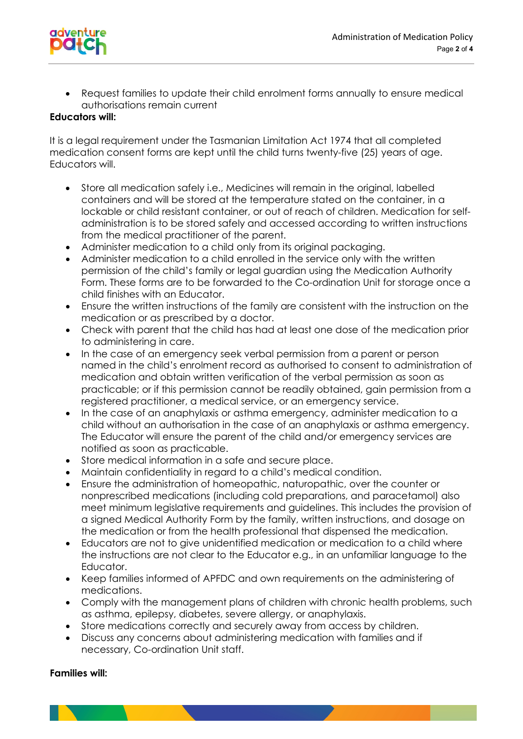

• Request families to update their child enrolment forms annually to ensure medical authorisations remain current

## **Educators will:**

It is a legal requirement under the Tasmanian Limitation Act 1974 that all completed medication consent forms are kept until the child turns twenty-five (25) years of age. Educators will.

- Store all medication safely i.e., Medicines will remain in the original, labelled containers and will be stored at the temperature stated on the container, in a lockable or child resistant container, or out of reach of children. Medication for selfadministration is to be stored safely and accessed according to written instructions from the medical practitioner of the parent.
- Administer medication to a child only from its original packaging.
- Administer medication to a child enrolled in the service only with the written permission of the child's family or legal guardian using the Medication Authority Form. These forms are to be forwarded to the Co-ordination Unit for storage once a child finishes with an Educator.
- Ensure the written instructions of the family are consistent with the instruction on the medication or as prescribed by a doctor.
- Check with parent that the child has had at least one dose of the medication prior to administering in care.
- In the case of an emergency seek verbal permission from a parent or person named in the child's enrolment record as authorised to consent to administration of medication and obtain written verification of the verbal permission as soon as practicable; or if this permission cannot be readily obtained, gain permission from a registered practitioner, a medical service, or an emergency service.
- In the case of an anaphylaxis or asthma emergency, administer medication to a child without an authorisation in the case of an anaphylaxis or asthma emergency. The Educator will ensure the parent of the child and/or emergency services are notified as soon as practicable.
- Store medical information in a safe and secure place.
- Maintain confidentiality in regard to a child's medical condition.
- Ensure the administration of homeopathic, naturopathic, over the counter or nonprescribed medications (including cold preparations, and paracetamol) also meet minimum legislative requirements and guidelines. This includes the provision of a signed Medical Authority Form by the family, written instructions, and dosage on the medication or from the health professional that dispensed the medication.
- Educators are not to give unidentified medication or medication to a child where the instructions are not clear to the Educator e.g., in an unfamiliar language to the Educator.
- Keep families informed of APFDC and own requirements on the administering of medications.
- Comply with the management plans of children with chronic health problems, such as asthma, epilepsy, diabetes, severe allergy, or anaphylaxis.
- Store medications correctly and securely away from access by children.
- Discuss any concerns about administering medication with families and if necessary, Co-ordination Unit staff.

### **Families will:**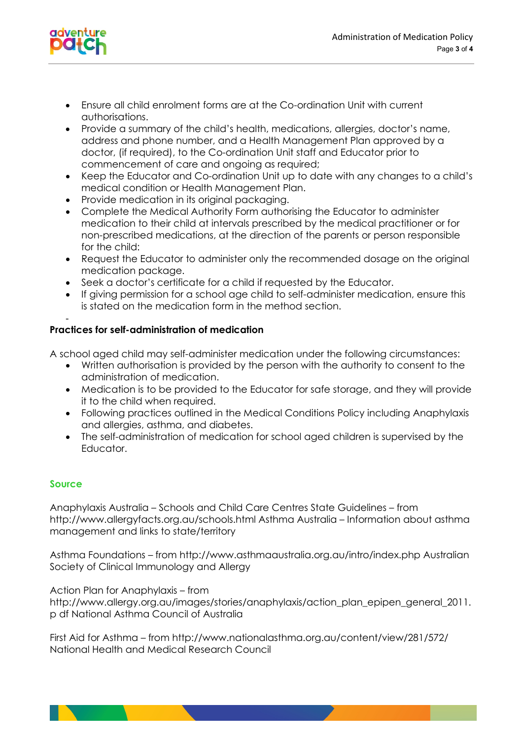

- Ensure all child enrolment forms are at the Co-ordination Unit with current authorisations.
- Provide a summary of the child's health, medications, allergies, doctor's name, address and phone number, and a Health Management Plan approved by a doctor, (if required), to the Co-ordination Unit staff and Educator prior to commencement of care and ongoing as required;
- Keep the Educator and Co-ordination Unit up to date with any changes to a child's medical condition or Health Management Plan.
- Provide medication in its original packaging.
- Complete the Medical Authority Form authorising the Educator to administer medication to their child at intervals prescribed by the medical practitioner or for non-prescribed medications, at the direction of the parents or person responsible for the child:
- Request the Educator to administer only the recommended dosage on the original medication package.
- Seek a doctor's certificate for a child if requested by the Educator.
- If giving permission for a school age child to self-administer medication, ensure this is stated on the medication form in the method section.

#### - **Practices for self-administration of medication**

A school aged child may self-administer medication under the following circumstances:

- Written authorisation is provided by the person with the authority to consent to the administration of medication.
- Medication is to be provided to the Educator for safe storage, and they will provide it to the child when required.
- Following practices outlined in the Medical Conditions Policy including Anaphylaxis and allergies, asthma, and diabetes.
- The self-administration of medication for school aged children is supervised by the Educator.

### **Source**

Anaphylaxis Australia – Schools and Child Care Centres State Guidelines – from http://www.allergyfacts.org.au/schools.html Asthma Australia – Information about asthma management and links to state/territory

Asthma Foundations – from http://www.asthmaaustralia.org.au/intro/index.php Australian Society of Clinical Immunology and Allergy

Action Plan for Anaphylaxis – from

http://www.allergy.org.au/images/stories/anaphylaxis/action\_plan\_epipen\_general\_2011. p df National Asthma Council of Australia

First Aid for Asthma – from http://www.nationalasthma.org.au/content/view/281/572/ National Health and Medical Research Council